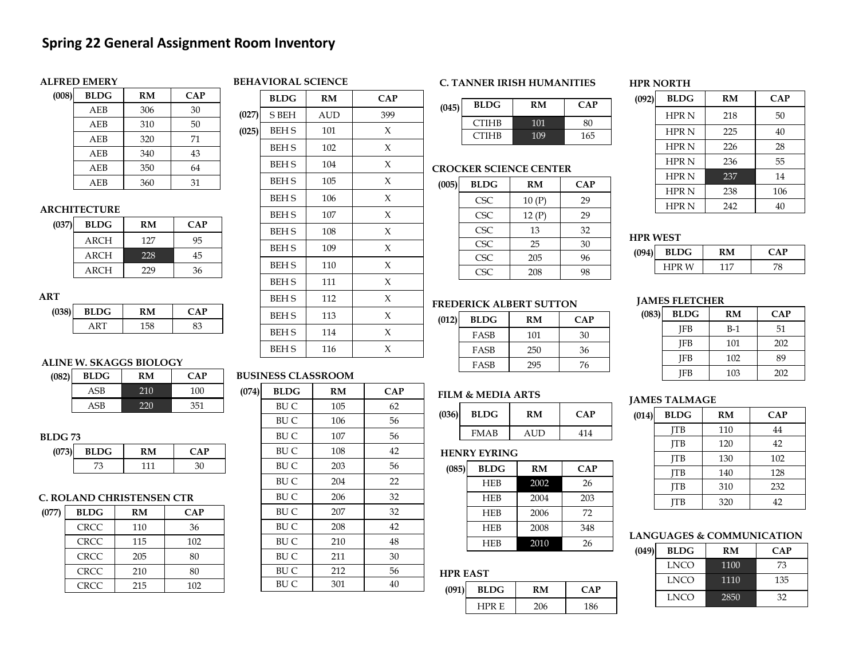# **Spring 22 General Assignment Room Inventory**

## **ALFRED EMERY**

# **BEHAVIORAL SCIENCE**

| (008) | <b>BLDG</b> | RM  | CAP |
|-------|-------------|-----|-----|
|       | AEB         | 306 | 30  |
|       | AEB         | 310 | 50  |
|       | AEB         | 320 | 71  |
|       | AEB         | 340 | 43  |
|       | AEB         | 350 | 64  |
|       | AEB         | 360 | 31  |

## **ARCHITECTURE**

| (037) | BLDG | RM  | <b>CAP</b> |
|-------|------|-----|------------|
|       | ARCH | 127 | 95         |
|       | ARCH | 228 | 45         |
|       | ARCH | 229 | 36         |

## **ART**

| . .   |             |     |    |
|-------|-------------|-----|----|
| (038) | <b>BLDG</b> | ' M | AP |
|       |             | 158 | מי |
|       |             |     |    |

## **ALINE W. SKAGGS BIOLOGY (082) BLDG RM CAP**

| ΖH | DLDG | KIVI | <u>д</u> Р |
|----|------|------|------------|
|    | ASB  |      | 100        |
|    | \SB  |      | 351        |

### **BLDG 73**

| (073) | <b>BLDG</b> |     |  |
|-------|-------------|-----|--|
|       |             | 111 |  |

## **C. ROLAND CHRISTENSEN CTR**

| (077) | <b>BLDG</b> | RM  | CAP |
|-------|-------------|-----|-----|
|       | <b>CRCC</b> | 110 | 36  |
|       | <b>CRCC</b> | 115 | 102 |
|       | <b>CRCC</b> | 205 | 80  |
|       | <b>CRCC</b> | 210 | 80  |
|       | <b>CRCC</b> | 215 | 102 |
|       |             |     |     |

|       | BLDG         | RM  | <b>CAP</b> |
|-------|--------------|-----|------------|
| (027) | S BEH        | AUD | 399        |
| (025) | <b>BEH S</b> | 101 | X          |
|       | <b>BEH S</b> | 102 | X          |
|       | <b>BEH S</b> | 104 | X          |
|       | <b>BEH S</b> | 105 | X          |
|       | <b>BEH S</b> | 106 | X          |
|       | <b>BEH S</b> | 107 | X          |
|       | <b>BEH S</b> | 108 | X          |
|       | <b>BEH S</b> | 109 | X          |
|       | <b>BEH S</b> | 110 | X          |
|       | <b>BEH S</b> | 111 | X          |
|       | BEH S        | 112 | X          |
|       | <b>BEH S</b> | 113 | X          |
|       | <b>BEH S</b> | 114 | X          |
|       | <b>BEH S</b> | 116 | X          |
|       |              |     |            |

### **BUSINESS CLASSROOM**

| (074) | <b>BLDG</b> | RM  | <b>CAP</b> |
|-------|-------------|-----|------------|
|       | BU C        | 105 | 62         |
|       | BU C        | 106 | 56         |
|       | BU C        | 107 | 56         |
|       | BU C        | 108 | 42         |
|       | BU C        | 203 | 56         |
|       | BU C        | 204 | 22         |
|       | BU C        | 206 | 32         |
|       | BU C        | 207 | 32         |
|       | BU C        | 208 | 42         |
|       | BU C        | 210 | 48         |
|       | BU C        | 211 | 30         |
|       | BU C        | 212 | 56         |
|       | BU C        | 301 | 40         |

### **C. TANNER IRISH HUMANITIES**

| (045) | <b>BLDG</b>  | RM  | <b>CAP</b> |
|-------|--------------|-----|------------|
|       | <b>CTIHB</b> | 101 | 80         |
|       | <b>CTIHB</b> | 109 | 165        |
|       |              |     |            |

## **CROCKER SCIENCE CENTER**

| (005) | <b>BLDG</b> | RM    | CAP |
|-------|-------------|-------|-----|
|       | <b>CSC</b>  | 10(P) | 29  |
|       | <b>CSC</b>  | 12(P) | 29  |
|       | <b>CSC</b>  | 13    | 32  |
|       | <b>CSC</b>  | 25    | 30  |
|       | <b>CSC</b>  | 205   | 96  |
|       | CSC.        | 208   | 98  |

### **FREDERICK ALBERT SUTTON**

| (012) | <b>BLDG</b> | RM  | <b>CAP</b> |
|-------|-------------|-----|------------|
|       | FASB        | 101 | 30         |
|       | FASB        | 250 | 36         |
|       | FASB        | 295 | 76         |

## **FILM & MEDIA ARTS**

| (036) | <b>BLDG</b> | RM  | $\mathbf{CAP}$ |
|-------|-------------|-----|----------------|
|       | <b>FMAB</b> | AUD | 414            |

### **HENRY EYRING**

| (085) | <b>BLDG</b> | RM   | CAP |
|-------|-------------|------|-----|
|       | <b>HEB</b>  | 2002 | 26  |
|       | <b>HEB</b>  | 2004 | 203 |
|       | <b>HEB</b>  | 2006 | 72  |
|       | <b>HEB</b>  | 2008 | 348 |
|       | <b>HEB</b>  | 2010 | 26  |

## **HPR EAST**

| (091) | <b>BLDG</b>  |     | ∩AP |
|-------|--------------|-----|-----|
|       | <b>HPR E</b> | 206 | 186 |

### **HPR NORTH**

| (092) | <b>BLDG</b>  | RM  | CAP |
|-------|--------------|-----|-----|
|       | <b>HPR N</b> | 218 | 50  |
|       | <b>HPR N</b> | 225 | 40  |
|       | <b>HPR N</b> | 226 | 28  |
|       | <b>HPRN</b>  | 236 | 55  |
|       | <b>HPRN</b>  | 237 | 14  |
|       | <b>HPRN</b>  | 238 | 106 |
|       | <b>HPR N</b> | 242 | 40  |

### **HPR WEST**

| (09) | <b>BLDG</b> |    |  |
|------|-------------|----|--|
|      | W           | 17 |  |

## **JAMES FLETCHER**

| (083) | BLDG | RM    | <b>CAP</b> |
|-------|------|-------|------------|
|       | IFB  | $B-1$ | 51         |
|       | IFB  | 101   | 202        |
|       | IFB  | 102   | 89         |
|       | IFB  | 103   | 202        |

## **JAMES TALMAGE**

| (014) | <b>BLDG</b> | RM  | CAP |
|-------|-------------|-----|-----|
|       | TВ          | 110 | 44  |
|       | IТB         | 120 | 42  |
|       | IТB         | 130 | 102 |
|       | TВ          | 140 | 128 |
|       | IТB         | 310 | 232 |
|       | ΓВ          | 320 | 42  |

### **LANGUAGES & COMMUNICATION**

| (049) | <b>BLDG</b> | RM   | <b>CAP</b> |
|-------|-------------|------|------------|
|       | <b>LNCO</b> | 1100 | 73         |
|       | LNCO        | 1110 | 135        |
|       | LNCO        | 2850 | 32         |

| 11001 W MDD 1111110 |      |    |  |  |
|---------------------|------|----|--|--|
| (036)               | BLDG | RM |  |  |
|                     | FMAR |    |  |  |

| ------ |  |  |  |  |
|--------|--|--|--|--|
| BLD    |  |  |  |  |